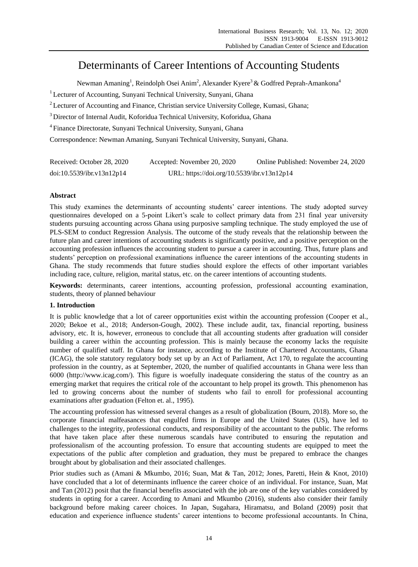# Determinants of Career Intentions of Accounting Students

Newman Amaning<sup>1</sup>, Reindolph Osei Anim<sup>2</sup>, Alexander Kyere<sup>3</sup> & Godfred Peprah-Amankona<sup>4</sup>

<sup>1</sup> Lecturer of Accounting, Sunyani Technical University, Sunyani, Ghana

<sup>2</sup> Lecturer of Accounting and Finance, Christian service University College, Kumasi, Ghana;

<sup>3</sup> Director of Internal Audit, Koforidua Technical University, Koforidua, Ghana

4 Finance Directorate, Sunyani Technical University, Sunyani, Ghana

Correspondence: Newman Amaning, Sunyani Technical University, Sunyani, Ghana.

| Received: October 28, 2020 | Accepted: November 20, 2020                | Online Published: November 24, 2020 |
|----------------------------|--------------------------------------------|-------------------------------------|
| doi:10.5539/ibr.v13n12p14  | URL: https://doi.org/10.5539/ibr.v13n12p14 |                                     |

# **Abstract**

This study examines the determinants of accounting students" career intentions. The study adopted survey questionnaires developed on a 5-point Likert's scale to collect primary data from 231 final year university students pursuing accounting across Ghana using purposive sampling technique. The study employed the use of PLS-SEM to conduct Regression Analysis. The outcome of the study reveals that the relationship between the future plan and career intentions of accounting students is significantly positive, and a positive perception on the accounting profession influences the accounting student to pursue a career in accounting. Thus, future plans and students" perception on professional examinations influence the career intentions of the accounting students in Ghana. The study recommends that future studies should explore the effects of other important variables including race, culture, religion, marital status, etc. on the career intentions of accounting students.

**Keywords:** determinants, career intentions, accounting profession, professional accounting examination, students, theory of planned behaviour

# **1. Introduction**

It is public knowledge that a lot of career opportunities exist within the accounting profession (Cooper et al., 2020; Bekoe et al., 2018; Anderson-Gough, 2002). These include audit, tax, financial reporting, business advisory, etc. It is, however, erroneous to conclude that all accounting students after graduation will consider building a career within the accounting profession. This is mainly because the economy lacks the requisite number of qualified staff. In Ghana for instance, according to the Institute of Chartered Accountants, Ghana (ICAG), the sole statutory regulatory body set up by an Act of Parliament, Act 170, to regulate the accounting profession in the country, as at September, 2020, the number of qualified accountants in Ghana were less than 6000 (http://www.icag.com/). This figure is woefully inadequate considering the status of the country as an emerging market that requires the critical role of the accountant to help propel its growth. This phenomenon has led to growing concerns about the number of students who fail to enroll for professional accounting examinations after graduation (Felton et. al., 1995).

The accounting profession has witnessed several changes as a result of globalization (Bourn, 2018). More so, the corporate financial malfeasances that engulfed firms in Europe and the United States (US), have led to challenges to the integrity, professional conducts, and responsibility of the accountant to the public. The reforms that have taken place after these numerous scandals have contributed to ensuring the reputation and professionalism of the accounting profession. To ensure that accounting students are equipped to meet the expectations of the public after completion and graduation, they must be prepared to embrace the changes brought about by globalisation and their associated challenges.

Prior studies such as (Amani & Mkumbo, 2016; Suan, Mat & Tan, 2012; Jones, Paretti, Hein & Knot, 2010) have concluded that a lot of determinants influence the career choice of an individual. For instance, Suan, Mat and Tan (2012) posit that the financial benefits associated with the job are one of the key variables considered by students in opting for a career. According to Amani and Mkumbo (2016), students also consider their family background before making career choices. In Japan, Sugahara, Hiramatsu, and Boland (2009) posit that education and experience influence students" career intentions to become professional accountants. In China,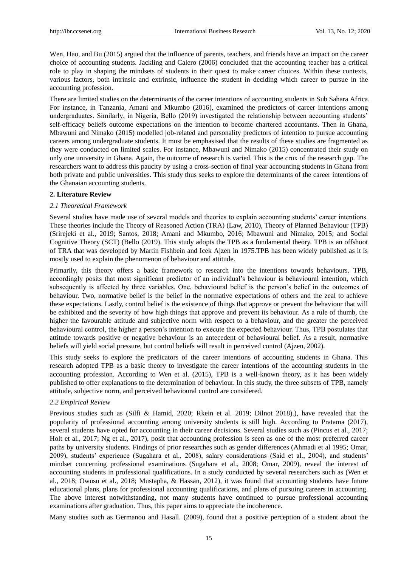Wen, Hao, and Bu (2015) argued that the influence of parents, teachers, and friends have an impact on the career choice of accounting students. Jackling and Calero (2006) concluded that the accounting teacher has a critical role to play in shaping the mindsets of students in their quest to make career choices. Within these contexts, various factors, both intrinsic and extrinsic, influence the student in deciding which career to pursue in the accounting profession.

There are limited studies on the determinants of the career intentions of accounting students in Sub Sahara Africa. For instance, in Tanzania, Amani and Mkumbo (2016), examined the predictors of career intentions among undergraduates. Similarly, in Nigeria, Bello (2019) investigated the relationship between accounting students" self-efficacy beliefs outcome expectations on the intention to become chartered accountants. Then in Ghana, Mbawuni and Nimako (2015) modelled job-related and personality predictors of intention to pursue accounting careers among undergraduate students. It must be emphasised that the results of these studies are fragmented as they were conducted on limited scales. For instance, Mbawuni and Nimako (2015) concentrated their study on only one university in Ghana. Again, the outcome of research is varied. This is the crux of the research gap. The researchers want to address this paucity by using a cross-section of final year accounting students in Ghana from both private and public universities. This study thus seeks to explore the determinants of the career intentions of the Ghanaian accounting students.

#### **2. Literature Review**

#### *2.1 Theoretical Framework*

Several studies have made use of several models and theories to explain accounting students" career intentions. These theories include the Theory of Reasoned Action (TRA) (Law, 2010), Theory of Planned Behaviour (TPB) (Srirejeki et al., 2019; Santos, 2018; Amani and Mkumbo, 2016; Mbawuni and Nimako, 2015; and Social Cognitive Theory (SCT) (Bello (2019). This study adopts the TPB as a fundamental theory. TPB is an offshoot of TRA that was developed by Martin Fishbein and Icek Ajzen in 1975.TPB has been widely published as it is mostly used to explain the phenomenon of behaviour and attitude.

Primarily, this theory offers a basic framework to research into the intentions towards behaviours. TPB, accordingly posits that most significant predictor of an individual's behaviour is behavioural intention, which subsequently is affected by three variables. One, behavioural belief is the person"s belief in the outcomes of behaviour. Two, normative belief is the belief in the normative expectations of others and the zeal to achieve these expectations. Lastly, control belief is the existence of things that approve or prevent the behaviour that will be exhibited and the severity of how high things that approve and prevent its behaviour. As a rule of thumb, the higher the favourable attitude and subjective norm with respect to a behaviour, and the greater the perceived behavioural control, the higher a person"s intention to execute the expected behaviour. Thus, TPB postulates that attitude towards positive or negative behaviour is an antecedent of behavioural belief. As a result, normative beliefs will yield social pressure, but control beliefs will result in perceived control (Ajzen, 2002).

This study seeks to explore the predicators of the career intentions of accounting students in Ghana. This research adopted TPB as a basic theory to investigate the career intentions of the accounting students in the accounting profession. According to Wen et al. (2015), TPB is a well-known theory, as it has been widely published to offer explanations to the determination of behaviour. In this study, the three subsets of TPB, namely attitude, subjective norm, and perceived behavioural control are considered.

# *2.2 Empirical Review*

Previous studies such as (Silfi & Hamid, 2020; Rkein et al. 2019; Dilnot 2018).), have revealed that the popularity of professional accounting among university students is still high. According to Pratama (2017), several students have opted for accounting in their career decisions. Several studies such as (Pincus et al., 2017; Holt et al., 2017; Ng et al., 2017), posit that accounting profession is seen as one of the most preferred career paths by university students. Findings of prior researches such as gender differences (Ahmadi et al 1995; Omar, 2009), students" experience (Sugahara et al., 2008), salary considerations (Said et al., 2004), and students" mindset concerning professional examinations (Sugahara et al., 2008; Omar, 2009), reveal the interest of accounting students in professional qualifications. In a study conducted by several researchers such as (Wen et al., 2018; Owusu et al., 2018; Mustapha, & Hassan, 2012), it was found that accounting students have future educational plans, plans for professional accounting qualifications, and plans of pursuing careers in accounting. The above interest notwithstanding, not many students have continued to pursue professional accounting examinations after graduation. Thus, this paper aims to appreciate the incoherence.

Many studies such as Germanou and Hasall. (2009), found that a positive perception of a student about the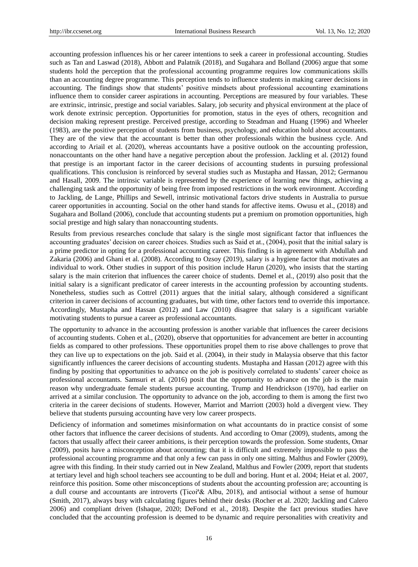accounting profession influences his or her career intentions to seek a career in professional accounting. Studies such as Tan and Laswad (2018), Abbott and Palatnik (2018), and Sugahara and Bolland (2006) argue that some students hold the perception that the professional accounting programme requires low communications skills than an accounting degree programme. This perception tends to influence students in making career decisions in accounting. The findings show that students" positive mindsets about professional accounting examinations influence them to consider career aspirations in accounting. Perceptions are measured by four variables. These are extrinsic, intrinsic, prestige and social variables. Salary, job security and physical environment at the place of work denote extrinsic perception. Opportunities for promotion, status in the eyes of others, recognition and decision making represent prestige. Perceived prestige, according to Steadman and Huang (1996) and Wheeler (1983), are the positive perception of students from business, psychology, and education hold about accountants. They are of the view that the accountant is better than other professionals within the business cycle. And according to Ariail et al. (2020), whereas accountants have a positive outlook on the accounting profession, nonaccountants on the other hand have a negative perception about the profession. Jackling et al. (2012) found that prestige is an important factor in the career decisions of accounting students in pursuing professional qualifications. This conclusion is reinforced by several studies such as Mustapha and Hassan, 2012; Germanou and Hasall, 2009. The intrinsic variable is represented by the experience of learning new things, achieving a challenging task and the opportunity of being free from imposed restrictions in the work environment. According to Jackling, de Lange, Phillips and Sewell, intrinsic motivational factors drive students in Australia to pursue career opportunities in accounting. Social on the other hand stands for affective items. Owusu et al., (2018) and Sugahara and Bolland (2006), conclude that accounting students put a premium on promotion opportunities, high social prestige and high salary than nonaccounting students.

Results from previous researches conclude that salary is the single most significant factor that influences the accounting graduates' decision on career choices. Studies such as Said et at., (2004), posit that the initial salary is a prime predictor in opting for a professional accounting career. This finding is in agreement with Abdullah and Zakaria (2006) and Ghani et al. (2008). According to Ozsoy (2019), salary is a hygiene factor that motivates an individual to work. Other studies in support of this position include Harun (2020), who insists that the starting salary is the main criterion that influences the career choice of students. Demel et al., (2019) also posit that the initial salary is a significant predicator of career interests in the accounting profession by accounting students. Nonetheless, studies such as Cottrel (2011) argues that the initial salary, although considered a significant criterion in career decisions of accounting graduates, but with time, other factors tend to override this importance. Accordingly, Mustapha and Hassan (2012) and Law (2010) disagree that salary is a significant variable motivating students to pursue a career as professional accountants.

The opportunity to advance in the accounting profession is another variable that influences the career decisions of accounting students. Cohen et al., (2020), observe that opportunities for advancement are better in accounting fields as compared to other professions. These opportunities propel them to rise above challenges to prove that they can live up to expectations on the job. Said et al. (2004), in their study in Malaysia observe that this factor significantly influences the career decisions of accounting students. Mustapha and Hassan (2012) agree with this finding by positing that opportunities to advance on the job is positively correlated to students" career choice as professional accountants. Samsuri et al. (2016) posit that the opportunity to advance on the job is the main reason why undergraduate female students pursue accounting. Trump and Hendrickson (1970), had earlier on arrived at a similar conclusion. The opportunity to advance on the job, according to them is among the first two criteria in the career decisions of students. However, Marriot and Marriott (2003) hold a divergent view. They believe that students pursuing accounting have very low career prospects.

Deficiency of information and sometimes misinformation on what accountants do in practice consist of some other factors that influence the career decisions of students. And according to Omar (2009), students, among the factors that usually affect their career ambitions, is their perception towards the profession. Some students, Omar (2009), posits have a misconception about accounting; that it is difficult and extremely impossible to pass the professional accounting programme and that only a few can pass in only one sitting. Malthus and Fowler (2009), agree with this finding. In their study carried out in New Zealand, Malthus and Fowler (2009, report that students at tertiary level and high school teachers see accounting to be dull and boring. Hunt et al. 2004; Heiat et al. 2007, reinforce this position. Some other misconceptions of students about the accounting profession are; accounting is a dull course and accountants are introverts (Ţicoiª& Albu, 2018), and antisocial without a sense of humour (Smith, 2017), always busy with calculating figures behind their desks (Rocher et al. 2020; Jackling and Calero 2006) and compliant driven (Ishaque, 2020; DeFond et al., 2018). Despite the fact previous studies have concluded that the accounting profession is deemed to be dynamic and require personalities with creativity and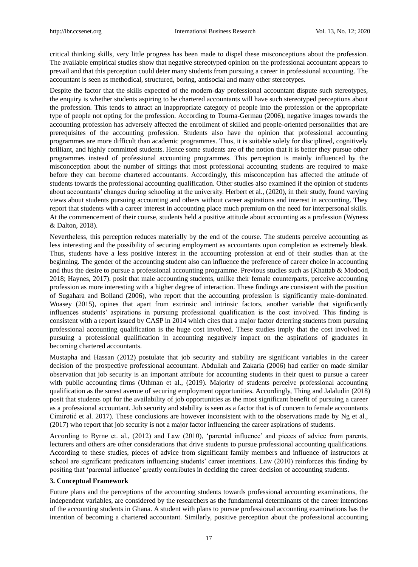critical thinking skills, very little progress has been made to dispel these misconceptions about the profession. The available empirical studies show that negative stereotyped opinion on the professional accountant appears to prevail and that this perception could deter many students from pursuing a career in professional accounting. The accountant is seen as methodical, structured, boring, antisocial and many other stereotypes.

Despite the factor that the skills expected of the modern-day professional accountant dispute such stereotypes, the enquiry is whether students aspiring to be chartered accountants will have such stereotyped perceptions about the profession. This tends to attract an inappropriate category of people into the profession or the appropriate type of people not opting for the profession. According to Tourna-Germau (2006), negative images towards the accounting profession has adversely affected the enrollment of skilled and people-oriented personalities that are prerequisites of the accounting profession. Students also have the opinion that professional accounting programmes are more difficult than academic programmes. Thus, it is suitable solely for disciplined, cognitively brilliant, and highly committed students. Hence some students are of the notion that it is better they pursue other programmes instead of professional accounting programmes. This perception is mainly influenced by the misconception about the number of sittings that most professional accounting students are required to make before they can become chartered accountants. Accordingly, this misconception has affected the attitude of students towards the professional accounting qualification. Other studies also examined if the opinion of students about accountants" changes during schooling at the university. Herbert et al., (2020), in their study, found varying views about students pursuing accounting and others without career aspirations and interest in accounting. They report that students with a career interest in accounting place much premium on the need for interpersonal skills. At the commencement of their course, students held a positive attitude about accounting as a profession (Wyness & Dalton, 2018).

Nevertheless, this perception reduces materially by the end of the course. The students perceive accounting as less interesting and the possibility of securing employment as accountants upon completion as extremely bleak. Thus, students have a less positive interest in the accounting profession at end of their studies than at the beginning. The gender of the accounting student also can influence the preference of career choice in accounting and thus the desire to pursue a professional accounting programme. Previous studies such as (Khattab & Modood, 2018; Haynes, 2017). posit that male accounting students, unlike their female counterparts, perceive accounting profession as more interesting with a higher degree of interaction. These findings are consistent with the position of Sugahara and Bolland (2006), who report that the accounting profession is significantly male-dominated. Woasey (2015), opines that apart from extrinsic and intrinsic factors, another variable that significantly influences students" aspirations in pursuing professional qualification is the cost involved. This finding is consistent with a report issued by CASP in 2014 which cites that a major factor deterring students from pursuing professional accounting qualification is the huge cost involved. These studies imply that the cost involved in pursuing a professional qualification in accounting negatively impact on the aspirations of graduates in becoming chartered accountants.

Mustapha and Hassan (2012) postulate that job security and stability are significant variables in the career decision of the prospective professional accountant. Abdullah and Zakaria (2006) had earlier on made similar observation that job security is an important attribute for accounting students in their quest to pursue a career with public accounting firms (Uthman et al., (2019). Majority of students perceive professional accounting qualification as the surest avenue of securing employment opportunities. Accordingly, Thing and Jalaludin (2018) posit that students opt for the availability of job opportunities as the most significant benefit of pursuing a career as a professional accountant. Job security and stability is seen as a factor that is of concern to female accountants Cimirotić et al. 2017). These conclusions are however inconsistent with to the observations made by Ng et al., (2017) who report that job security is not a major factor influencing the career aspirations of students.

According to Byrne et. al., (2012) and Law (2010), "parental influence" and pieces of advice from parents, lecturers and others are other considerations that drive students to pursue professional accounting qualifications. According to these studies, pieces of advice from significant family members and influence of instructors at school are significant predicators influencing students' career intentions. Law (2010) reinforces this finding by positing that "parental influence" greatly contributes in deciding the career decision of accounting students.

#### **3. Conceptual Framework**

Future plans and the perceptions of the accounting students towards professional accounting examinations, the independent variables, are considered by the researchers as the fundamental determinants of the career intentions of the accounting students in Ghana. A student with plans to pursue professional accounting examinations has the intention of becoming a chartered accountant. Similarly, positive perception about the professional accounting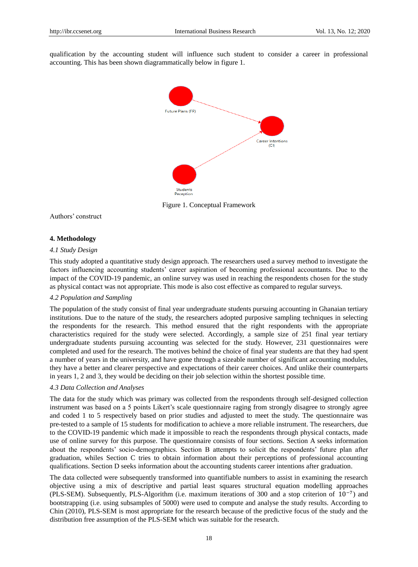qualification by the accounting student will influence such student to consider a career in professional accounting. This has been shown diagrammatically below in figure 1.



Figure 1. Conceptual Framework

Authors" construct

## **4. Methodology**

#### *4.1 Study Design*

This study adopted a quantitative study design approach. The researchers used a survey method to investigate the factors influencing accounting students' career aspiration of becoming professional accountants. Due to the impact of the COVID-19 pandemic, an online survey was used in reaching the respondents chosen for the study as physical contact was not appropriate. This mode is also cost effective as compared to regular surveys.

#### *4.2 Population and Sampling*

The population of the study consist of final year undergraduate students pursuing accounting in Ghanaian tertiary institutions. Due to the nature of the study, the researchers adopted purposive sampling techniques in selecting the respondents for the research. This method ensured that the right respondents with the appropriate characteristics required for the study were selected. Accordingly, a sample size of 251 final year tertiary undergraduate students pursuing accounting was selected for the study. However, 231 questionnaires were completed and used for the research. The motives behind the choice of final year students are that they had spent a number of years in the university, and have gone through a sizeable number of significant accounting modules, they have a better and clearer perspective and expectations of their career choices. And unlike their counterparts in years 1, 2 and 3, they would be deciding on their job selection within the shortest possible time.

#### *4.3 Data Collection and Analyses*

The data for the study which was primary was collected from the respondents through self-designed collection instrument was based on a 5 points Likert's scale questionnaire raging from strongly disagree to strongly agree and coded 1 to 5 respectively based on prior studies and adjusted to meet the study. The questionnaire was pre-tested to a sample of 15 students for modification to achieve a more reliable instrument. The researchers, due to the COVID-19 pandemic which made it impossible to reach the respondents through physical contacts, made use of online survey for this purpose. The questionnaire consists of four sections. Section A seeks information about the respondents" socio-demographics. Section B attempts to solicit the respondents" future plan after graduation, whiles Section C tries to obtain information about their perceptions of professional accounting qualifications. Section D seeks information about the accounting students career intentions after graduation.

The data collected were subsequently transformed into quantifiable numbers to assist in examining the research objective using a mix of descriptive and partial least squares structural equation modelling approaches (PLS-SEM). Subsequently, PLS-Algorithm (i.e. maximum iterations of 300 and a stop criterion of 10−7 ) and bootstrapping (i.e. using subsamples of 5000) were used to compute and analyse the study results. According to Chin (2010), PLS-SEM is most appropriate for the research because of the predictive focus of the study and the distribution free assumption of the PLS-SEM which was suitable for the research.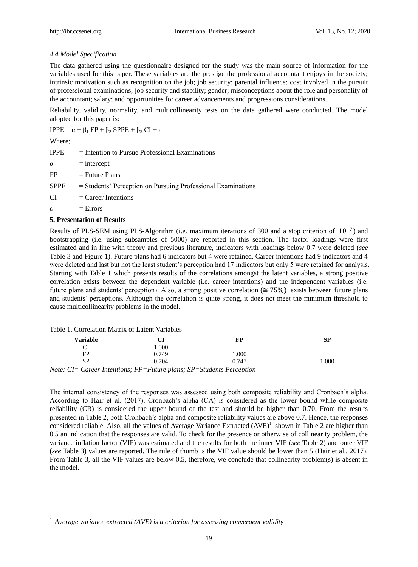# *4.4 Model Specification*

The data gathered using the questionnaire designed for the study was the main source of information for the variables used for this paper. These variables are the prestige the professional accountant enjoys in the society; intrinsic motivation such as recognition on the job; job security; parental influence; cost involved in the pursuit of professional examinations; job security and stability; gender; misconceptions about the role and personality of the accountant; salary; and opportunities for career advancements and progressions considerations.

Reliability, validity, normality, and multicollinearity tests on the data gathered were conducted. The model adopted for this paper is:

IPPE =  $\alpha + \beta_1$  FP +  $\beta_2$  SPPE +  $\beta_3$  CI + ε

Where;

-

 $I$  = Intention to Pursue Professional Examinations  $\alpha$  = intercept

 $FP = Future Plans$ 

SPPE = Students' Perception on Pursuing Professional Examinations

 $CI = C \cdot \text{Areter}$  Intentions

 $\epsilon$  = Errors

#### **5. Presentation of Results**

Results of PLS-SEM using PLS-Algorithm (i.e. maximum iterations of 300 and a stop criterion of 10<sup>-7</sup>) and bootstrapping (i.e. using subsamples of 5000) are reported in this section. The factor loadings were first estimated and in line with theory and previous literature, indicators with loadings below 0.7 were deleted (*see* Table 3 and Figure 1). Future plans had 6 indicators but 4 were retained, Career intentions had 9 indicators and 4 were deleted and last but not the least student's perception had 17 indicators but only 5 were retained for analysis. Starting with Table 1 which presents results of the correlations amongst the latent variables, a strong positive correlation exists between the dependent variable (i.e. career intentions) and the independent variables (i.e. future plans and students' perception). Also, a strong positive correlation ( $\approx$  75%) exists between future plans and students" perceptions. Although the correlation is quite strong, it does not meet the minimum threshold to cause multicollinearity problems in the model.

| Table 1. Correlation Matrix of Latent Variables |  |  |  |
|-------------------------------------------------|--|--|--|
|-------------------------------------------------|--|--|--|

| <b>Variable</b>       | u            | FP               | <b>SP</b> |
|-----------------------|--------------|------------------|-----------|
| ◡ェ                    | $000$ .      |                  |           |
| FP                    | 0.749        | 000.1            |           |
| <b>SP</b>             | 0.704        | 0.747            | 1.000     |
| $\mathbf{v}$ $\alpha$ | $\mathbf{r}$ | $CD = C_1 + D_2$ |           |

*Note: CI= Career Intentions; FP=Future plans; SP=Students Perception*

The internal consistency of the responses was assessed using both composite reliability and Cronbach"s alpha. According to Hair et al. (2017), Cronbach"s alpha (CA) is considered as the lower bound while composite reliability (CR) is considered the upper bound of the test and should be higher than 0.70. From the results presented in Table 2, both Cronbach"s alpha and composite reliability values are above 0.7. Hence, the responses considered reliable. Also, all the values of Average Variance Extracted  $(AVE)^1$  shown in Table 2 are higher than 0.5 an indication that the responses are valid. To check for the presence or otherwise of collinearity problem, the variance inflation factor (VIF) was estimated and the results for both the inner VIF (*see* Table 2) and outer VIF (*see* Table 3) values are reported. The rule of thumb is the VIF value should be lower than 5 (Hair et al., 2017). From Table 3, all the VIF values are below 0.5, therefore, we conclude that collinearity problem(s) is absent in the model.

<sup>&</sup>lt;sup>1</sup> Average variance extracted (AVE) is a criterion for assessing convergent validity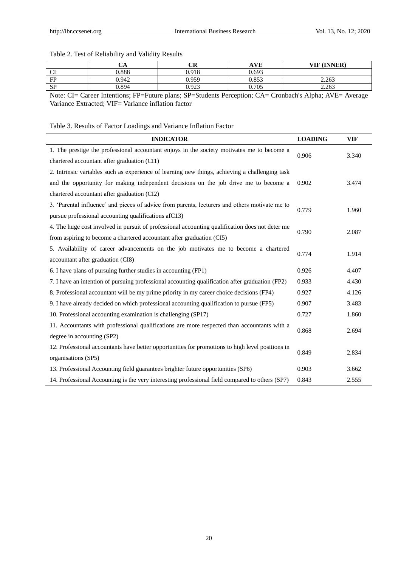# Table 2. Test of Reliability and Validity Results

|                                                                                                               | ັ     | ЛD<br>◡▴                                                                                                                                           | <b>AVE</b>                                                                                   | <b>VIF (INNER)</b> |
|---------------------------------------------------------------------------------------------------------------|-------|----------------------------------------------------------------------------------------------------------------------------------------------------|----------------------------------------------------------------------------------------------|--------------------|
| $\sim$<br>◡                                                                                                   | 0.888 | 0.918                                                                                                                                              | 0.693                                                                                        |                    |
| FP                                                                                                            | 0.942 | .959                                                                                                                                               | 0.853                                                                                        | 2.263              |
| <b>SP</b>                                                                                                     | 94.ر  | 0.022<br>U.YZJ                                                                                                                                     | 0.705                                                                                        | 2.263              |
| the second control of the second control of the second control of the second control of the second control of |       | the contract of the contract of the contract of the contract of the contract of the contract of the contract of<br>the contract of the contract of | the control of the control of the control of the con-<br>the contract of the contract of the |                    |

Note: CI= Career Intentions; FP=Future plans; SP=Students Perception; CA= Cronbach's Alpha; AVE= Average Variance Extracted; VIF= Variance inflation factor

# Table 3. Results of Factor Loadings and Variance Inflation Factor

| <b>INDICATOR</b>                                                                                                                                       | <b>LOADING</b> | <b>VIF</b> |
|--------------------------------------------------------------------------------------------------------------------------------------------------------|----------------|------------|
| 1. The prestige the professional accountant enjoys in the society motivates me to become a<br>chartered accountant after graduation (CI1)              |                | 3.340      |
|                                                                                                                                                        |                |            |
| 2. Intrinsic variables such as experience of learning new things, achieving a challenging task                                                         |                |            |
| and the opportunity for making independent decisions on the job drive me to become a                                                                   | 0.902          | 3.474      |
| chartered accountant after graduation (CI2)                                                                                                            |                |            |
| 3. 'Parental influence' and pieces of advice from parents, lecturers and others motivate me to<br>pursue professional accounting qualifications afC13) |                |            |
|                                                                                                                                                        |                | 1.960      |
| 4. The huge cost involved in pursuit of professional accounting qualification does not deter me                                                        |                |            |
| from aspiring to become a chartered accountant after graduation (CI5)                                                                                  | 0.790          | 2.087      |
| 5. Availability of career advancements on the job motivates me to become a chartered<br>accountant after graduation (CI8)                              |                |            |
|                                                                                                                                                        |                | 1.914      |
| 6. I have plans of pursuing further studies in accounting (FP1)                                                                                        | 0.926          | 4.407      |
| 7. I have an intention of pursuing professional accounting qualification after graduation (FP2)                                                        | 0.933          | 4.430      |
| 8. Professional accountant will be my prime priority in my career choice decisions (FP4)                                                               | 0.927          | 4.126      |
| 9. I have already decided on which professional accounting qualification to pursue (FP5)                                                               | 0.907          | 3.483      |
| 10. Professional accounting examination is challenging (SP17)                                                                                          | 0.727          | 1.860      |
| 11. Accountants with professional qualifications are more respected than accountants with a                                                            |                |            |
| degree in accounting (SP2)                                                                                                                             | 0.868          | 2.694      |
| 12. Professional accountants have better opportunities for promotions to high level positions in                                                       |                |            |
| organisations (SP5)                                                                                                                                    | 0.849          | 2.834      |
| 13. Professional Accounting field guarantees brighter future opportunities (SP6)                                                                       | 0.903          | 3.662      |
| 14. Professional Accounting is the very interesting professional field compared to others (SP7)                                                        | 0.843          | 2.555      |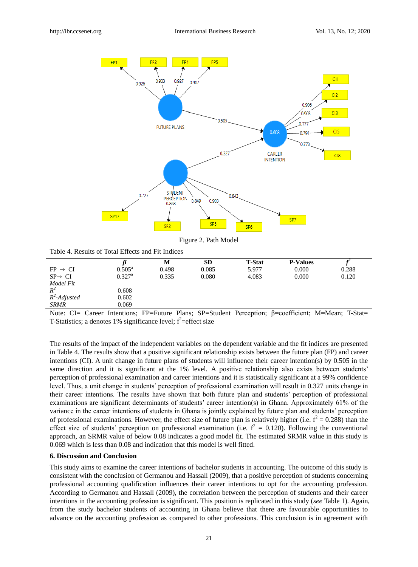

Figure 2. Path Model

Table 4. Results of Total Effects and Fit Indices

|                                |                 | М            | <b>SD</b>            | <b>T-Stat</b>                 | <b>P-Values</b>    |        |
|--------------------------------|-----------------|--------------|----------------------|-------------------------------|--------------------|--------|
| $FP \rightarrow CI$            | $0.505^{\rm a}$ | 0.498        | 0.085                | 5.977                         | 0.000              | 0.288  |
| $SP \rightarrow CI$            | $0.327^{\rm a}$ | 0.335        | 0.080                | 4.083                         | 0.000              | 0.120  |
| Model Fit                      |                 |              |                      |                               |                    |        |
| $R^2$                          | 0.608           |              |                      |                               |                    |        |
| $R^2$ -Adjusted                | 0.602           |              |                      |                               |                    |        |
| <b>SRMR</b>                    | 0.069           |              |                      |                               |                    |        |
| $\sim$ $\sim$<br>$-$<br>$\sim$ |                 | $-1$<br>$-1$ | $\sim$ $\sim$ $\sim$ | $\sim$<br>$\bullet$<br>$\sim$ | $\sim$ $\sim$<br>. | $\sim$ |

Note: CI= Career Intentions; FP=Future Plans; SP=Student Perception; β=coefficient; M=Mean; T-Stat= T-Statistics; a denotes  $1\%$  significance level;  $f^2$ =effect size

The results of the impact of the independent variables on the dependent variable and the fit indices are presented in Table 4. The results show that a positive significant relationship exists between the future plan (FP) and career intentions (CI). A unit change in future plans of students will influence their career intention(s) by 0.505 in the same direction and it is significant at the 1% level. A positive relationship also exists between students' perception of professional examination and career intentions and it is statistically significant at a 99% confidence level. Thus, a unit change in students" perception of professional examination will result in 0.327 units change in their career intentions. The results have shown that both future plan and students" perception of professional examinations are significant determinants of students' career intention(s) in Ghana. Approximately 61% of the variance in the career intentions of students in Ghana is jointly explained by future plan and students" perception of professional examinations. However, the effect size of future plan is relatively higher (i.e.  $f^2 = 0.288$ ) than the effect size of students' perception on professional examination (i.e.  $f^2 = 0.120$ ). Following the conventional approach, an SRMR value of below 0.08 indicates a good model fit. The estimated SRMR value in this study is 0.069 which is less than 0.08 and indication that this model is well fitted.

# **6. Discussion and Conclusion**

This study aims to examine the career intentions of bachelor students in accounting. The outcome of this study is consistent with the conclusion of Germanou and Hassall (2009), that a positive perception of students concerning professional accounting qualification influences their career intentions to opt for the accounting profession. According to Germanou and Hassall (2009), the correlation between the perception of students and their career intentions in the accounting profession is significant. This position is replicated in this study (*see* Table 1). Again, from the study bachelor students of accounting in Ghana believe that there are favourable opportunities to advance on the accounting profession as compared to other professions. This conclusion is in agreement with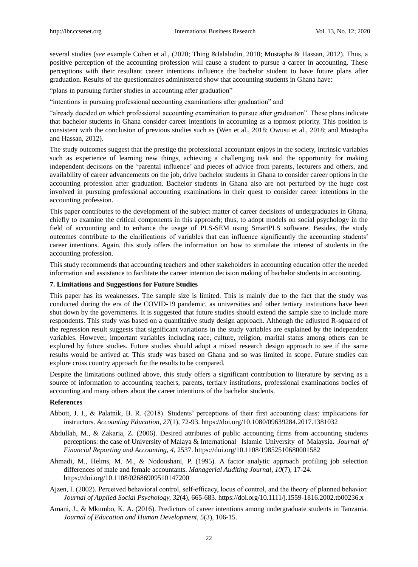several studies (*see* example Cohen et al., (2020; Thing &Jalaludin, 2018; Mustapha & Hassan, 2012). Thus, a positive perception of the accounting profession will cause a student to pursue a career in accounting. These perceptions with their resultant career intentions influence the bachelor student to have future plans after graduation. Results of the questionnaires administered show that accounting students in Ghana have:

"plans in pursuing further studies in accounting after graduation"

"intentions in pursuing professional accounting examinations after graduation" and

"already decided on which professional accounting examination to pursue after graduation". These plans indicate that bachelor students in Ghana consider career intentions in accounting as a topmost priority. This position is consistent with the conclusion of previous studies such as (Wen et al., 2018; Owusu et al., 2018; and Mustapha and Hassan, 2012).

The study outcomes suggest that the prestige the professional accountant enjoys in the society, intrinsic variables such as experience of learning new things, achieving a challenging task and the opportunity for making independent decisions on the "parental influence" and pieces of advice from parents, lecturers and others, and availability of career advancements on the job, drive bachelor students in Ghana to consider career options in the accounting profession after graduation. Bachelor students in Ghana also are not perturbed by the huge cost involved in pursuing professional accounting examinations in their quest to consider career intentions in the accounting profession.

This paper contributes to the development of the subject matter of career decisions of undergraduates in Ghana, chiefly to examine the critical components in this approach; thus, to adopt models on social psychology in the field of accounting and to enhance the usage of PLS-SEM using SmartPLS software. Besides, the study outcomes contribute to the clarifications of variables that can influence significantly the accounting students" career intentions. Again, this study offers the information on how to stimulate the interest of students in the accounting profession.

This study recommends that accounting teachers and other stakeholders in accounting education offer the needed information and assistance to facilitate the career intention decision making of bachelor students in accounting.

#### **7. Limitations and Suggestions for Future Studies**

This paper has its weaknesses. The sample size is limited. This is mainly due to the fact that the study was conducted during the era of the COVID-19 pandemic, as universities and other tertiary institutions have been shut down by the governments. It is suggested that future studies should extend the sample size to include more respondents. This study was based on a quantitative study design approach. Although the adjusted R-squared of the regression result suggests that significant variations in the study variables are explained by the independent variables. However, important variables including race, culture, religion, marital status among others can be explored by future studies. Future studies should adopt a mixed research design approach to see if the same results would be arrived at. This study was based on Ghana and so was limited in scope. Future studies can explore cross country approach for the results to be compared.

Despite the limitations outlined above, this study offers a significant contribution to literature by serving as a source of information to accounting teachers, parents, tertiary institutions, professional examinations bodies of accounting and many others about the career intentions of the bachelor students.

# **References**

- Abbott, J. I., & Palatnik, B. R. (2018). Students" perceptions of their first accounting class: implications for instructors. *Accounting Education*, *27*(1), 72-93. https://doi.org/10.1080/09639284.2017.1381032
- Abdullah, M., & Zakaria, Z. (2006). Desired attributes of public accounting firms from accounting students perceptions: the case of University of Malaya & International Islamic University of Malaysia. *Journal of Financial Reporting and Accounting, 4,* 2537. https://doi.org/10.1108/19852510680001582
- Ahmadi, M., Helms, M. M., & Nodoushani, P. (1995). A factor analytic approach profiling job selection differences of male and female accountants. *Managerial Auditing Journal, 10*(7), 17-24. https://doi.org/10.1108/02686909510147200
- Ajzen, I. (2002). Perceived behavioral control, self‐efficacy, locus of control, and the theory of planned behavior. *Journal of Applied Social Psychology, 32*(4), 665-683. https://doi.org/10.1111/j.1559-1816.2002.tb00236.x
- Amani, J., & Mkumbo, K. A. (2016). Predictors of career intentions among undergraduate students in Tanzania. *Journal of Education and Human Development*, *5*(3), 106-15.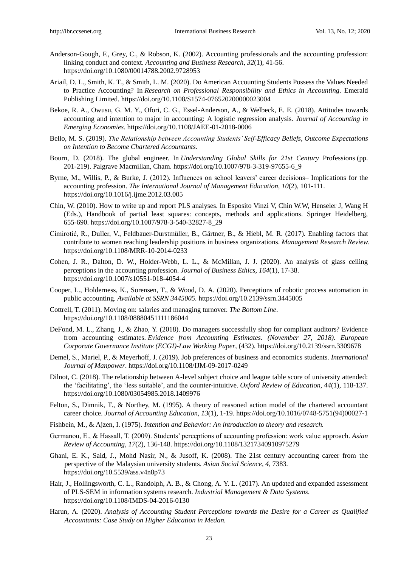- Anderson-Gough, F., Grey, C., & Robson, K. (2002). Accounting professionals and the accounting profession: linking conduct and context. *Accounting and Business Research*, *32*(1), 41-56. https://doi.org/10.1080/00014788.2002.9728953
- Ariail, D. L., Smith, K. T., & Smith, L. M. (2020). Do American Accounting Students Possess the Values Needed to Practice Accounting? In *Research on Professional Responsibility and Ethics in Accounting*. Emerald Publishing Limited. https://doi.org/10.1108/S1574-076520200000023004
- Bekoe, R. A., Owusu, G. M. Y., Ofori, C. G., Essel-Anderson, A., & Welbeck, E. E. (2018). Attitudes towards accounting and intention to major in accounting: A logistic regression analysis. *Journal of Accounting in Emerging Economies*. https://doi.org/10.1108/JAEE-01-2018-0006
- Bello, M. S. (2019). *The Relationship between Accounting Students' Self-Efficacy Beliefs, Outcome Expectations on Intention to Become Chartered Accountants.*
- Bourn, D. (2018). The global engineer. In *Understanding Global Skills for 21st Century* Professions (pp. 201-219). Palgrave Macmillan, Cham. https://doi.org/10.1007/978-3-319-97655-6\_9
- Byrne, M., Willis, P., & Burke, J. (2012). Influences on school leavers" career decisions– Implications for the accounting profession. *The International Journal of Management Education*, *10*(2), 101-111. https://doi.org/10.1016/j.ijme.2012.03.005
- Chin, W. (2010). How to write up and report PLS analyses. In Esposito Vinzi V, Chin W.W, Henseler J, Wang H (Eds.), Handbook of partial least squares: concepts, methods and applications. Springer Heidelberg, 655-690. https://doi.org/10.1007/978-3-540-32827-8\_29
- Cimirotić, R., Duller, V., Feldbauer-Durstmüller, B., Gärtner, B., & Hiebl, M. R. (2017). Enabling factors that contribute to women reaching leadership positions in business organizations. *Management Research Review*. https://doi.org/10.1108/MRR-10-2014-0233
- Cohen, J. R., Dalton, D. W., Holder-Webb, L. L., & McMillan, J. J. (2020). An analysis of glass ceiling perceptions in the accounting profession. *Journal of Business Ethics*, *164*(1), 17-38. https://doi.org/10.1007/s10551-018-4054-4
- Cooper, L., Holderness, K., Sorensen, T., & Wood, D. A. (2020). Perceptions of robotic process automation in public accounting. *Available at SSRN 3445005.* https://doi.org/10.2139/ssrn.3445005
- Cottrell, T. (2011). Moving on: salaries and managing turnover. *The Bottom Line*. https://doi.org/10.1108/08880451111186044
- DeFond, M. L., Zhang, J., & Zhao, Y. (2018). Do managers successfully shop for compliant auditors? Evidence from accounting estimates. *Evidence from Accounting Estimates. (November 27, 2018). European Corporate Governance Institute (ECGI)-Law Working Paper*, (432). https://doi.org/10.2139/ssrn.3309678
- Demel, S., Mariel, P., & Meyerhoff, J. (2019). Job preferences of business and economics students. *International Journal of Manpower*. https://doi.org/10.1108/IJM-09-2017-0249
- Dilnot, C. (2018). The relationship between A-level subject choice and league table score of university attended: the "facilitating", the "less suitable", and the counter-intuitive. *Oxford Review of Education*, *44*(1), 118-137. https://doi.org/10.1080/03054985.2018.1409976
- Felton, S., Dimnik, T., & Northey, M. (1995). A theory of reasoned action model of the chartered accountant career choice. *Journal of Accounting Education, 13*(1), 1-19. https://doi.org/10.1016/0748-5751(94)00027-1
- Fishbein, M., & Ajzen, I. (1975). *Intention and Behavior: An introduction to theory and research.*
- Germanou, E., & Hassall, T. (2009). Students" perceptions of accounting profession: work value approach. *Asian Review of Accounting, 17*(2), 136-148. https://doi.org/10.1108/13217340910975279
- Ghani, E. K., Said, J., Mohd Nasir, N., & Jusoff, K. (2008). The 21st century accounting career from the perspective of the Malaysian university students. *Asian Social Science, 4,* 7383*.* https://doi.org/10.5539/ass.v4n8p73
- Hair, J., Hollingsworth, C. L., Randolph, A. B., & Chong, A. Y. L. (2017). An updated and expanded assessment of PLS-SEM in information systems research. *Industrial Management & Data Systems*. https://doi.org/10.1108/IMDS-04-2016-0130
- Harun, A. (2020). *Analysis of Accounting Student Perceptions towards the Desire for a Career as Qualified Accountants: Case Study on Higher Education in Medan.*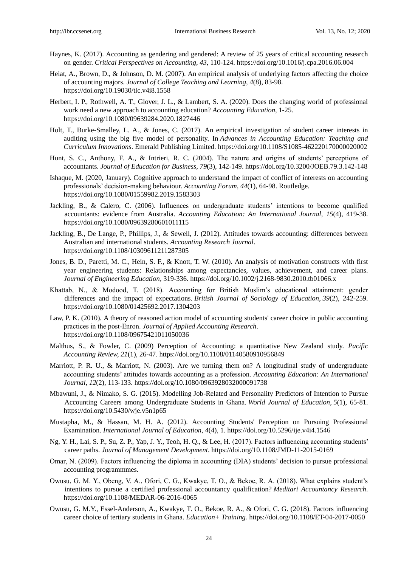- Haynes, K. (2017). Accounting as gendering and gendered: A review of 25 years of critical accounting research on gender. *Critical Perspectives on Accounting*, *43*, 110-124. https://doi.org/10.1016/j.cpa.2016.06.004
- Heiat, A., Brown, D., & Johnson, D. M. (2007). An empirical analysis of underlying factors affecting the choice of accounting majors. *Journal of College Teaching and Learning, 4*(8), 83-98. https://doi.org/10.19030/tlc.v4i8.1558
- Herbert, I. P., Rothwell, A. T., Glover, J. L., & Lambert, S. A. (2020). Does the changing world of professional work need a new approach to accounting education? *Accounting Education*, 1-25. https://doi.org/10.1080/09639284.2020.1827446
- Holt, T., Burke-Smalley, L. A., & Jones, C. (2017). An empirical investigation of student career interests in auditing using the big five model of personality. In *Advances in Accounting Education: Teaching and Curriculum Innovations*. Emerald Publishing Limited. https://doi.org/10.1108/S1085-462220170000020002
- Hunt, S. C., Anthony, F. A., & Intrieri, R. C. (2004). The nature and origins of students" perceptions of accountants. *Journal of Education for Business, 79*(3), 142-149. https://doi.org/10.3200/JOEB.79.3.142-148
- Ishaque, M. (2020, January). Cognitive approach to understand the impact of conflict of interests on accounting professionals" decision-making behaviour. *Accounting Forum*, *44*(1), 64-98. Routledge. https://doi.org/10.1080/01559982.2019.1583303
- Jackling, B., & Calero, C. (2006). Influences on undergraduate students" intentions to become qualified accountants: evidence from Australia. *Accounting Education: An International Journal, 15*(4), 419-38. https://doi.org/10.1080/09639280601011115
- Jackling, B., De Lange, P., Phillips, J., & Sewell, J. (2012). Attitudes towards accounting: differences between Australian and international students. *Accounting Research Journal*. https://doi.org/10.1108/10309611211287305
- Jones, B. D., Paretti, M. C., Hein, S. F., & Knott, T. W. (2010). An analysis of motivation constructs with first year engineering students: Relationships among expectancies, values, achievement, and career plans. *Journal of Engineering Education,* 319-336. https://doi.org/10.1002/j.2168-9830.2010.tb01066.x
- Khattab, N., & Modood, T. (2018). Accounting for British Muslim"s educational attainment: gender differences and the impact of expectations. *British Journal of Sociology of Education*, *39*(2), 242-259. https://doi.org/10.1080/01425692.2017.1304203
- Law, P. K. (2010). A theory of reasoned action model of accounting students' career choice in public accounting practices in the post‐Enron. *Journal of Applied Accounting Research*. https://doi.org/10.1108/09675421011050036
- Malthus, S., & Fowler, C. (2009) Perception of Accounting: a quantitative New Zealand study. *Pacific Accounting Review, 21*(1), 26-47. https://doi.org/10.1108/01140580910956849
- Marriott, P. R. U., & Marriott, N. (2003). Are we turning them on? A longitudinal study of undergraduate accounting students" attitudes towards accounting as a profession. *Accounting Education: An International Journal, 12*(2), 113-133. https://doi.org/10.1080/0963928032000091738
- Mbawuni, J., & Nimako, S. G. (2015). Modelling Job-Related and Personality Predictors of Intention to Pursue Accounting Careers among Undergraduate Students in Ghana. *World Journal of Education*, *5*(1), 65-81. https://doi.org/10.5430/wje.v5n1p65
- Mustapha, M., & Hassan, M. H. A. (2012). Accounting Students' Perception on Pursuing Professional Examination. *International Journal of Education*, *4*(4), 1. https://doi.org/10.5296/ije.v4i4.1546
- Ng, Y. H., Lai, S. P., Su, Z. P., Yap, J. Y., Teoh, H. Q., & Lee, H. (2017). Factors influencing accounting students" career paths. *Journal of Management Development*. https://doi.org/10.1108/JMD-11-2015-0169
- Omar, N. (2009). Factors influencing the diploma in accounting (DIA) students" decision to pursue professional accounting programmmes.
- Owusu, G. M. Y., Obeng, V. A., Ofori, C. G., Kwakye, T. O., & Bekoe, R. A. (2018). What explains student"s intentions to pursue a certified professional accountancy qualification? *Meditari Accountancy Research*. https://doi.org/10.1108/MEDAR-06-2016-0065
- Owusu, G. M.Y., Essel-Anderson, A., Kwakye, T. O., Bekoe, R. A., & Ofori, C. G. (2018). Factors influencing career choice of tertiary students in Ghana. *Education+ Training.* https://doi.org/10.1108/ET-04-2017-0050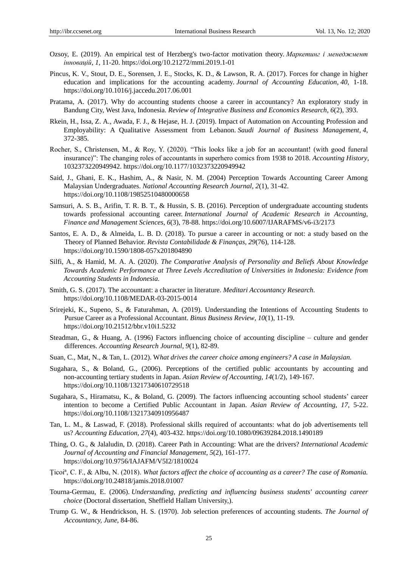- Ozsoy, E. (2019). An empirical test of Herzberg's two-factor motivation theory. *Маркетинг і менеджмент інновацій*, *1,* 11-20. https://doi.org/10.21272/mmi.2019.1-01
- Pincus, K. V., Stout, D. E., Sorensen, J. E., Stocks, K. D., & Lawson, R. A. (2017). Forces for change in higher education and implications for the accounting academy. *Journal of Accounting Education*, *40*, 1-18. https://doi.org/10.1016/j.jaccedu.2017.06.001
- Pratama, A. (2017). Why do accounting students choose a career in accountancy? An exploratory study in Bandung City, West Java, Indonesia. *Review of Integrative Business and Economics Research*, *6*(2), 393.
- Rkein, H., Issa, Z. A., Awada, F. J., & Hejase, H. J. (2019). Impact of Automation on Accounting Profession and Employability: A Qualitative Assessment from Lebanon. *Saudi Journal of Business Management*, *4*, 372-385.
- Rocher, S., Christensen, M., & Roy, Y. (2020). "This looks like a job for an accountant! (with good funeral insurance)": The changing roles of accountants in superhero comics from 1938 to 2018. *Accounting History*, 1032373220949942. https://doi.org/10.1177/1032373220949942
- Said, J., Ghani, E. K., Hashim, A., & Nasir, N. M. (2004) Perception Towards Accounting Career Among Malaysian Undergraduates. *National Accounting Research Journal*, *2*(1), 31-42. https://doi.org/10.1108/19852510480000658
- Samsuri, A. S. B., Arifin, T. R. B. T., & Hussin, S. B. (2016). Perception of undergraduate accounting students towards professional accounting career. *International Journal of Academic Research in Accounting, Finance and Management Sciences*, *6*(3), 78-88. https://doi.org/10.6007/IJARAFMS/v6-i3/2173
- Santos, E. A. D., & Almeida, L. B. D. (2018). To pursue a career in accounting or not: a study based on the Theory of Planned Behavior. *Revista Contabilidade & Finanças*, *29*(76), 114-128. https://doi.org/10.1590/1808-057x201804890
- Silfi, A., & Hamid, M. A. A. (2020). *The Comparative Analysis of Personality and Beliefs About Knowledge Towards Academic Performance at Three Levels Accreditation of Universities in Indonesia: Evidence from Accounting Students in Indonesia.*
- Smith, G. S. (2017). The accountant: a character in literature. *Meditari Accountancy Research*. https://doi.org/10.1108/MEDAR-03-2015-0014
- Srirejeki, K., Supeno, S., & Faturahman, A. (2019). Understanding the Intentions of Accounting Students to Pursue Career as a Professional Accountant. *Binus Business Review*, *10*(1), 11-19. https://doi.org/10.21512/bbr.v10i1.5232
- Steadman, G., & Huang, A. (1996) Factors influencing choice of accounting discipline culture and gender differences. *Accounting Research Journal, 9*(1), 82-89.
- Suan, C., Mat, N., & Tan, L. (2012). W*hat drives the career choice among engineers? A case in Malaysian.*
- Sugahara, S., & Boland, G., (2006). Perceptions of the certified public accountants by accounting and non-accounting tertiary students in Japan. *Asian Review of Accounting, 14*(1/2), 149-167. https://doi.org/10.1108/13217340610729518
- Sugahara, S., Hiramatsu, K., & Boland, G. (2009). The factors influencing accounting school students" career intention to become a Certified Public Accountant in Japan. *Asian Review of Accounting, 17,* 5-22. https://doi.org/10.1108/13217340910956487
- Tan, L. M., & Laswad, F. (2018). Professional skills required of accountants: what do job advertisements tell us? *Accounting Education*, *27*(4), 403-432. https://doi.org/10.1080/09639284.2018.1490189
- Thing, O. G., & Jalaludin, D. (2018). Career Path in Accounting: What are the drivers? *International Academic Journal of Accounting and Financial Management*, *5*(2), 161-177. https://doi.org/10.9756/IAJAFM/V5I2/1810024
- Ţicoiª, C. F., & Albu, N. (2018). *What factors affect the choice of accounting as a career? The case of Romania.* https://doi.org/10.24818/jamis.2018.01007
- Tourna-Germau, E. (2006). *Understanding, predicting and influencing business students' accounting career choice* (Doctoral dissertation, Sheffield Hallam University,).
- Trump G. W., & Hendrickson, H. S. (1970). Job selection preferences of accounting students. *The Journal of Accountancy, June*, 84-86.